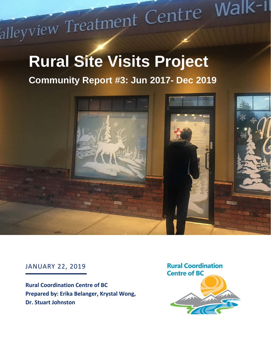# alleyview Treatment Centre Walk-II

## **Rural Site Visits Project**

#### **Community Report #3: Jun 2017- Dec 2019**



#### JANUARY 22, 2019

**Rural Coordination Centre of BC Prepared by: Erika Belanger, Krystal Wong, Dr. Stuart Johnston**

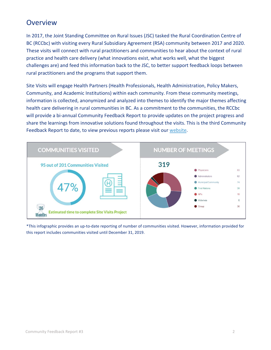#### Overview

In 2017, the Joint Standing Committee on Rural Issues (JSC) tasked the Rural Coordination Centre of BC (RCCbc) with visiting every Rural Subsidiary Agreement (RSA) community between 2017 and 2020. These visits will connect with rural practitioners and communities to hear about the context of rural practice and health care delivery (what innovations exist, what works well, what the biggest challenges are) and feed this information back to the JSC, to better support feedback loops between rural practitioners and the programs that support them.

Site Visits will engage Health Partners (Health Professionals, Health Administration, Policy Makers, Community, and Academic Institutions) within each community. From these community meetings, information is collected, anonymized and analyzed into themes to identify the major themes affecting health care delivering in rural communities in BC. As a commitment to the communities, the RCCbc will provide a bi-annual Community Feedback Report to provide updates on the project progress and share the learnings from innovative solutions found throughout the visits. This is the third Community Feedback Report to date, to view previous reports please visit our [website.](https://rccbc.ca/rccbc-initiatives/rural-health-services-support-initiativesnetworks/rural-site-visits-project/documentation/)



\*This infographic provides an up-to-date reporting of number of communities visited. However, information provided for this report includes communities visited until December 31, 2019.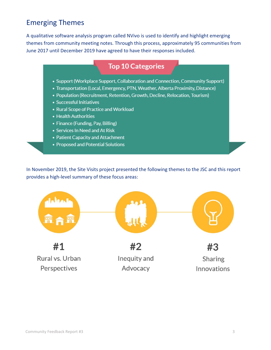#### Emerging Themes

A qualitative software analysis program called NVivo is used to identify and highlight emerging themes from community meeting notes. Through this process, approximately 95 communities from June 2017 until December 2019 have agreed to have their responses included.

#### **Top 10 Categories**

- Support (Workplace Support, Collaboration and Connection, Community Support)
- Transportation (Local, Emergency, PTN, Weather, Alberta Proximity, Distance)
- Population (Recruitment, Retention, Growth, Decline, Relocation, Tourism)
- Successful Initiatives
- Rural Scope of Practice and Workload
- Health Authorities
- Finance (Funding, Pay, Billing)
- Services In Need and At Risk
- Patient Capacity and Attachment
- Proposed and Potential Solutions

In November 2019, the Site Visits project presented the following themes to the JSC and this report provides a high-level summary of these focus areas:

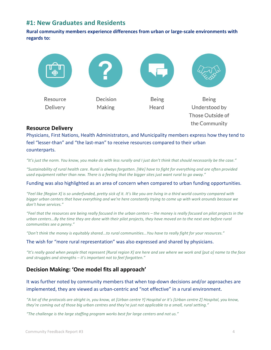#### **#1: New Graduates and Residents**

**Rural community members experience differences from urban or large-scale environments with regards to:** 



#### **Resource Delivery**

Physicians, First Nations, Health Administrators, and Municipality members express how they tend to feel "lesser-than" and "the last-man" to receive resources compared to their urban counterparts.

*"It's just the norm. You know, you make do with less rurally and I just don't think that should necessarily be the case."*

*"Sustainability of rural health care. Rural is always forgotten. [We] have to fight for everything and are often provided used equipment rather than new. There is a feeling that the bigger sites just want rural to go away."*

#### Funding was also highlighted as an area of concern when compared to urban funding opportunities.

*"Feel like [Region X] is so underfunded, pretty sick of it. It's like you are living in a third world country compared with bigger urban centers that have everything and we're here constantly trying to come up with work arounds because we don't have services."*

*"Feel that the resources are being really focused in the urban centers – the money is really focused on pilot projects in the urban centers...By the time they are done with their pilot projects, they have moved on to the next one before rural communities see a penny."*

*"Don't think the money is equitably shared...to rural communities...You have to really fight for your resources."*

#### The wish for "more rural representation" was also expressed and shared by physicians.

*"It's really good when people that represent [Rural region X] are here and see where we work and [put a] name to the face and struggles and strengths – it's important not to feel forgotten."*

#### **Decision Making: 'One model fits all approach'**

It was further noted by community members that when top-down decisions and/or approaches are implemented, they are viewed as urban-centric and "not effective" in a rural environment.

*"A lot of the protocols are alright in, you know, at [Urban centre Y] Hospital or it's [Urban centre Z] Hospital, you know, they're coming out of those big urban centres and they're just not applicable to a small, rural setting."*

*"The challenge is the large staffing program works best for large centers and not us."*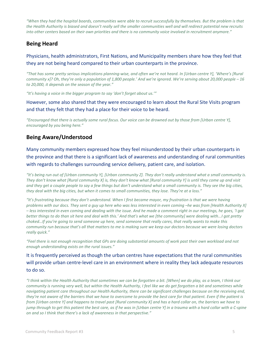*"When they had the hospital boards, communities were able to recruit successfully by themselves. But the problem is that the Health Authority is biased and doesn't really sell the smaller communities well and will redirect potential new recruits into other centers based on their own priorities and there is no community voice involved in recruitment anymore."*

#### **Being Heard**

#### Physicians, health administrators, First Nations, and Municipality members share how they feel that they are not being heard compared to their urban counterparts in the province.

*"That has some pretty serious implications planning-wise, and often we're not heard. In [Urban centre Y], 'Where's [Rural community x]? Oh, they're only a population of 1,800 people.' And we're ignored. We're serving about 20,000 people – 16 to 20,000, it depends on the season of the year."*

*"It's having a voice in the bigger program to say 'don't forget about us.'"*

#### However, some also shared that they were encouraged to learn about the Rural Site Visits program and that they felt that they had a place for their voice to be heard.

*"Encouraged that there is actually some rural focus. Our voice can be drowned out by those from [Urban centre Y], encouraged by you being here."*

#### **Being Aware/Understood**

Many community members expressed how they feel misunderstood by their urban counterparts in the province and that there is a significant lack of awareness and understanding of rural communities with regards to challenges surrounding service delivery, patient care, and isolation.

*"It's being run out of [Urban community Y], [Urban community Z]. They don't really understand what a small community is. They don't know what [Rural community X] is, they don't know what [Rural community Y] is until they come up and visit*  and they get a couple people to say a few things but don't understand what a small community is. They see the big cities, *they deal with the big cities, but when it comes to small communities, they lose. They're at a loss."*

*"It's frustrating because they don't understand. When I first became mayor, my frustration is that we were having problems with our docs. They sent a guy up here who was less interested in even coming –he was from [Health Authority X] – less interested in even coming and dealing with the issue. And he made a comment right in our meetings, he goes, 'I got better things to do than sit here and deal with this.' And that's what we [the community] were dealing with...I got pretty choked…If you're going to send someone up here, send someone that really cares, that really wants to make this community run because that's all that matters to me is making sure we keep our doctors because we were losing doctors really quick."*

*"Feel there is not enough recognition that GPs are doing substantial amounts of work past their own workload and not enough understanding exists on the rural issues."*

#### It is frequently perceived as though the urban centres have expectations that the rural communities will provide urban centre-level care in an environment where in reality they lack adequate resources to do so.

*"I think within the Health Authority that sometimes we can be forgotten a bit. [When] we do play, as a team, I think our community is running very well, but within the Health Authority, I feel like we do get forgotten a bit and sometimes while navigating patient care throughout our Health Authority, there can be significant challenges because on the receiving end, they're not aware of the barriers that we have to overcome to provide the best care for that patient. Even if the patient is from [Urban centre Y] and happens to travel past [Rural community X] and has a hard collar on, the barriers we have to jump through to get this patient the best care, as if he was in [Urban centre Y] in a trauma with a hard collar with a C-spine on and so I think that there's a lack of awareness in that perspective."*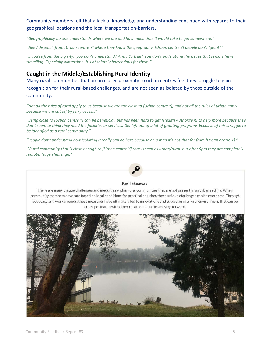#### Community members felt that a lack of knowledge and understanding continued with regards to their geographical locations and the local transportation-barriers.

*"Geographically no one understands where we are and how much time it would take to get somewhere."*

*"Need dispatch from [Urban centre Y] where they know the geography. [Urban centre Z] people don't [get it]."*

*"...you're from the big city, 'you don't understand.' And [it's true], you don't understand the issues that seniors have travelling. Especially wintertime. It's absolutely horrendous for them."*

#### **Caught in the Middle/Establishing Rural Identity**

Many rural communities that are in closer-proximity to urban centres feel they struggle to gain recognition for their rural-based challenges, and are not seen as isolated by those outside of the community.

*"Not all the rules of rural apply to us because we are too close to [Urban centre Y], and not all the rules of urban apply because we are cut off by ferry access."*

*"Being close to [Urban centre Y] can be beneficial, but has been hard to get [Health Authority X] to help more because they don't seem to think they need the facilities or services. Get left out of a lot of granting programs because of this struggle to be identified as a rural community."*

*"People don't understand how isolating it really can be here because on a map it's not that far from [Urban centre Y]."*

*"Rural community that is close enough to [Urban centre Y] that is seen as urban/rural, but after 9pm they are completely remote. Huge challenge."*



#### **Key Takeaway**

There are many unique challenges and inequities within rural communities that are not present in an urban setting. When community members advocate based on local conditions for practical solution, these unique challenges can be overcome. Through advocacy and workarounds, these measures have ultimately led to innovations and successes in a rural environment that can be cross-pollinated with other rural communities moving forward.

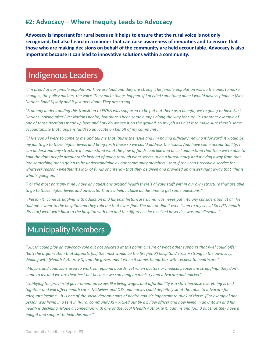#### **#2: Advocacy – Where Inequity Leads to Advocacy**

**Advocacy is important for rural because it helps to ensure that the rural voice is not only recognized, but also heard in a manner that can raise awareness of inequities and to ensure that those who are making decisions on behalf of the community are held accountable. Advocacy is also important because it can lead to innovative solutions within a community.**

#### **Indigenous Leaders**

*"I'm proud of our female population. They are loud and they are strong. The female population will be the ones to make changes, the policy makers, the voice. They make things happen. If I needed something done I would always phone a [First Nations Band X] lady and it just gets done. They are strong."*

*"From my understanding this transition to FNHA was supposed to be put out there as a benefit, we're going to have First Nations looking after First Nations health, but there's been some bumps along the way for sure. It's another example of one of those decisions made up here and how do we see it on the ground, so my job as Chief is to make sure there's some accountability that happens [and] to advocate on behalf of my community."*

*"If [Person X] were to come to me and tell me that 'this is the issue and I'm having difficulty moving it forward' it would be my job to go to those higher levels and bring forth those so we could address the issues. And have some accountability. I can understand any structure if I understand what the flow of funds look like and once I understand that then we're able to hold the right people accountable instead of going through what seems to be a bureaucracy and moving away from that into something that's going to be understandable by our community members - that if they can't receive a service for whatever reason - whether it's lack of funds or criteria - that they be given and provided an answer right away that 'this is what's going on.'"*

*"For the most part any time I have any questions around health there's always staff within our own structure that are able to go to those higher levels and advocate. That's a help I utilize all the time to get some questions."*

*"[Person X] came struggling with addiction and his past historical trauma was never put into any consideration at all. He told me 'I went to the hospital and they told me that I was fine. The doctor didn't even listen to my chest' So I (FN health director) went with back to the hospital with him and the difference he received in service was unbelievable."*

#### **Municipality Members**

*"UBCM could play an advocacy role but not solicited at this point. Unsure of what other supports that [we] could offer [but] the organization that supports [us] the most would be the [Region X] hospital district – strong in the advocacy; dealing with [Health Authority X] and the government when it comes to matters with respect to healthcare."*

*"Mayors and councilors used to work on regional boards, yet when doctors or medical people are struggling, they don't come to us, and we are their best bet because we can bang on ministry and advocate and quicker"*

*"Lobbying the provincial government on issues like living wages and affordability is a start because everything is tied together and will affect health care…Midwives and OBs and nurses could definitely sit at the table to advocate for adequate income – it is one of the social determinants of health and it's important to think of those. [For example] one person was living in a tent in [Rural community X] – kicked out by a bylaw officer and now living in downtown and his health is declining. Made a connection with one of the local [Health Authority X] admins and found out that they have a budget and support to help this man."*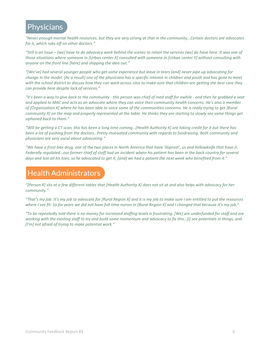#### **Physicians**

*"Never enough mental health resources, but they are very strong at that in the community...Certain doctors are advocates for it, which rubs off on other doctors."*

*"Still is an issue – [we] have to do advocacy work behind the scenes to retain the services [we] do have here. It was one of those situations where someone in [Urban center X] consulted with someone in [Urban center Y] without consulting with anyone on the front line [here] and shipping the idea out."*

*"[We've] had several younger people who get some experience but leave in tears [and] never pipe up advocating for change in the model. [As a result] one of the physicians has a specific interest in children and youth and has gone to meet with the school district to discuss how they can work across silos to make sure that children are getting the best care they can provide here despite lack of services."*

*"it's been a way to give back to the community - this person was chief of med staff for awhile - and then he grabbed a seat and applied to MAC and acts as an advocate where they can voice their community health concerns. He's also a member of [Organization X] where he has been able to voice some of the communities concerns. He is really trying to get [Rural community X] on the map and properly represented at the table. He thinks they are starting to slowly see some things get siphoned back to them."*

*"Will be getting a CT scan, this has been a long time coming…[Health Authority X] are taking credit for it but there has been a lot of pushing from the doctors…Pretty motivated community with regards to fundraising. Both community and physicians are very vocal about advocating."*

*"We have a frost bite drug, one of the two places in North America that have 'Iloprost', us and Yellowknife that have it. Federally regulated…our former chief of staff had an incident where his patient has been in the back country for several days and lost all his toes, so he advocated to get it, [and] we had a patient the next week who benefited from it."*

#### **Health Administrators**

*"[Person X] sits at a few different tables that [Health Authority X] does not sit at and also helps with advocacy for her community."*

*"That's my job. It's my job to advocate for [Rural Region X] and it is my job to make sure I am entitled to put the resources where I see fit. So for years we did not have full-time nurses in [Rural Region X] and I changed that because it's my job."*

*"To be repeatedly told there is no money for increased staffing levels is frustrating. [We] are underfunded for staff and are working with the existing staff to try and build some momentum and advocacy to fix this…[I] see potentials in things, and [I'm] not afraid of trying to make potential work."*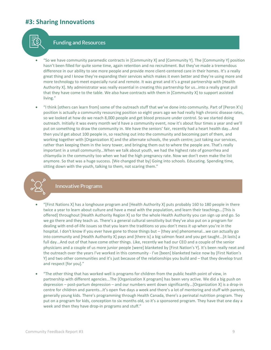#### **#3: Sharing Innovations**



#### **Funding and Resources**

- "So we have community paramedic contracts in [Community X] and [Community Y]. The [Community Y] position hasn't been filled for quite some time, again retention and no recruitment. But they've made a tremendous difference in our ability to see more people and provide more client-centered care in their homes. It's a really great thing and I know they're expanding their services which makes it even better and they're using more and more technology to meet especially rural and remote. It was great and it's a great partnership with [Health Authority X]. My administrator was really essential in creating this partnership for us…into a really great pull that they have come to the table. We also have contracts with them in [Community X] to support assisted living."
- "I think [others can learn from] some of the outreach stuff that we've done into community. Part of [Peron X's] position is actually a community resourcing position so eight years ago we had really high chronic disease rates, so we looked at how do we reach 8,000 people and get blood pressure under control. So we started doing outreach. Initially it was every month we'd have a community event, now it's about four times a year and we'll put on something to draw the community in. We have the seniors' fair, recently had a heart health day...And then you'd get about 100 people in, so reaching out into the community and becoming part of them, and working together with [Organization X] and the alternate schools, the youth centre; just taking our services, rather than keeping them in the ivory tower, and bringing them out to where the people are. That's really important in a small community…When we talk about youth, we had the highest rate of gonorrhea and chlamydia in the community too when we had the high pregnancy rate. Now we don't even make the list anymore. So that was a huge success. [We changed that by] Going into schools. Educating. Spending time, sitting down with the youth, talking to them, not scaring them."



#### **Innovative Programs**

- "[First Nations X] has a longhouse program and [Health Authority X] puts probably 160 to 180 people in there twice a year to learn about culture and have a meal with the population, and learn their teachings...[This is offered] throughout [Health Authority Region X] so for the whole Health Authority you can sign up and go. So we go there and they teach us. There's a general cultural sensitivity but they've also put on a program for dealing with end-of-life issues so that you learn the traditions so you don't mess it up when you're in the hospital. I don't know if you ever have gone to those things but – [they are] phenomenal...we can actually go into community and [Health Authority X] pays and [there is] a big salmon feast and you get taught...[it lasts] a full day...And out of that have come other things. Like, recently we had our CEO and a couple of the senior physicians and a couple of us more junior people [were] blanketed by [First Nation's Y]. It's been really neat and the outreach over the years I've worked in this community - I've [been] blanketed twice now by [First Nation's Y] and two other communities and it's just because of the relationships you build and – that they develop trust and respect [for you]."
- "The other thing that has worked well is programs for children from the public health point of view, in partnership with different agencies...The [Organization X program] has been very active. We did a big push on depression – post-partum depression – and our numbers went down significantly...[Organization X] is a drop-in centre for children and parents…It's open five days a week and there's a lot of mentoring and stuff with parents, generally young kids. There's programming through Health Canada, there's a perinatal nutrition program. They put on a program for kids, conception to six months old, so it's a sponsored program. They have that one day a week and then they have drop-in programs and stuff."